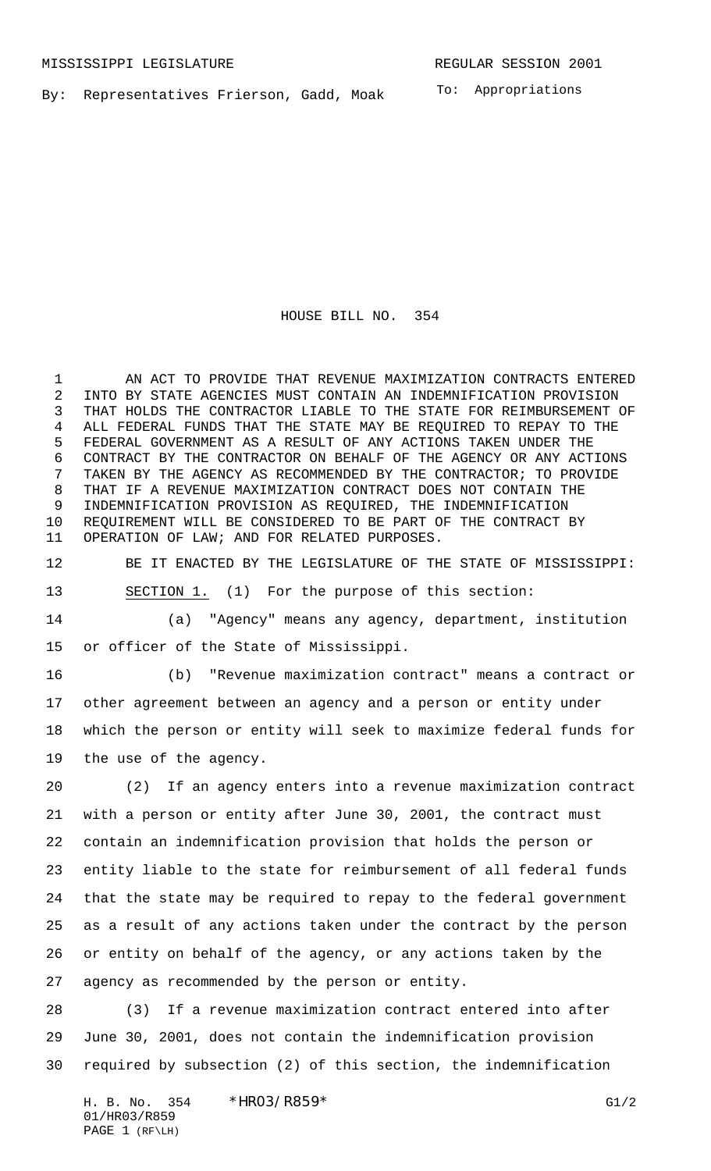By: Representatives Frierson, Gadd, Moak

To: Appropriations

## HOUSE BILL NO. 354

1 AN ACT TO PROVIDE THAT REVENUE MAXIMIZATION CONTRACTS ENTERED INTO BY STATE AGENCIES MUST CONTAIN AN INDEMNIFICATION PROVISION THAT HOLDS THE CONTRACTOR LIABLE TO THE STATE FOR REIMBURSEMENT OF ALL FEDERAL FUNDS THAT THE STATE MAY BE REQUIRED TO REPAY TO THE FEDERAL GOVERNMENT AS A RESULT OF ANY ACTIONS TAKEN UNDER THE CONTRACT BY THE CONTRACTOR ON BEHALF OF THE AGENCY OR ANY ACTIONS TAKEN BY THE AGENCY AS RECOMMENDED BY THE CONTRACTOR; TO PROVIDE THAT IF A REVENUE MAXIMIZATION CONTRACT DOES NOT CONTAIN THE INDEMNIFICATION PROVISION AS REQUIRED, THE INDEMNIFICATION REQUIREMENT WILL BE CONSIDERED TO BE PART OF THE CONTRACT BY OPERATION OF LAW; AND FOR RELATED PURPOSES.

BE IT ENACTED BY THE LEGISLATURE OF THE STATE OF MISSISSIPPI:

SECTION 1. (1) For the purpose of this section:

 (a) "Agency" means any agency, department, institution or officer of the State of Mississippi.

 (b) "Revenue maximization contract" means a contract or other agreement between an agency and a person or entity under which the person or entity will seek to maximize federal funds for the use of the agency.

 (2) If an agency enters into a revenue maximization contract with a person or entity after June 30, 2001, the contract must contain an indemnification provision that holds the person or entity liable to the state for reimbursement of all federal funds that the state may be required to repay to the federal government as a result of any actions taken under the contract by the person or entity on behalf of the agency, or any actions taken by the agency as recommended by the person or entity.

 (3) If a revenue maximization contract entered into after June 30, 2001, does not contain the indemnification provision required by subsection (2) of this section, the indemnification

H. B. No. 354 \*HRO3/R859\* G1/2 01/HR03/R859 PAGE 1 (RF\LH)